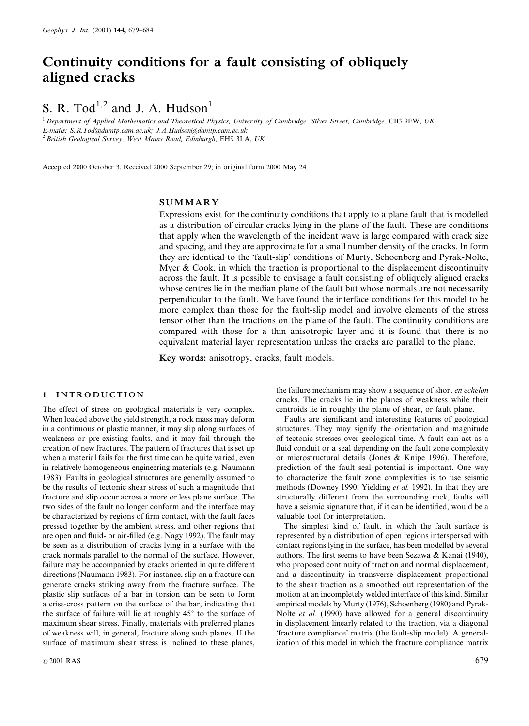## Continuity conditions for a fault consisting of obliquely aligned cracks

# S. R. Tod<sup>1,2</sup> and J. A. Hudson<sup>1</sup>

<sup>1</sup> Department of Applied Mathematics and Theoretical Physics, University of Cambridge, Silver Street, Cambridge, CB3 9EW, UK. E-mails: S.R.Tod@damtp.cam.ac.uk; J.A.Hudson@damtp.cam.ac.uk  $^{2}$  British Geological Survey, West Mains Road, Edinburgh, EH9 3LA, UK

Accepted 2000 October 3. Received 2000 September 29; in original form 2000 May 24

## SUMMARY

Expressions exist for the continuity conditions that apply to a plane fault that is modelled as a distribution of circular cracks lying in the plane of the fault. These are conditions that apply when the wavelength of the incident wave is large compared with crack size and spacing, and they are approximate for a small number density of the cracks. In form they are identical to the 'fault-slip' conditions of Murty, Schoenberg and Pyrak-Nolte, Myer  $\&$  Cook, in which the traction is proportional to the displacement discontinuity across the fault. It is possible to envisage a fault consisting of obliquely aligned cracks whose centres lie in the median plane of the fault but whose normals are not necessarily perpendicular to the fault. We have found the interface conditions for this model to be more complex than those for the fault-slip model and involve elements of the stress tensor other than the tractions on the plane of the fault. The continuity conditions are compared with those for a thin anisotropic layer and it is found that there is no equivalent material layer representation unless the cracks are parallel to the plane.

Key words: anisotropy, cracks, fault models.

#### 1 INTRODUCTION

The effect of stress on geological materials is very complex. When loaded above the yield strength, a rock mass may deform in a continuous or plastic manner, it may slip along surfaces of weakness or pre-existing faults, and it may fail through the creation of new fractures. The pattern of fractures that is set up when a material fails for the first time can be quite varied, even in relatively homogeneous engineering materials (e.g. Naumann 1983). Faults in geological structures are generally assumed to be the results of tectonic shear stress of such a magnitude that fracture and slip occur across a more or less plane surface. The two sides of the fault no longer conform and the interface may be characterized by regions of firm contact, with the fault faces pressed together by the ambient stress, and other regions that are open and fluid- or air-filled (e.g. Nagy 1992). The fault may be seen as a distribution of cracks lying in a surface with the crack normals parallel to the normal of the surface. However, failure may be accompanied by cracks oriented in quite different directions (Naumann 1983). For instance, slip on a fracture can generate cracks striking away from the fracture surface. The plastic slip surfaces of a bar in torsion can be seen to form a criss-cross pattern on the surface of the bar, indicating that the surface of failure will lie at roughly  $45^\circ$  to the surface of maximum shear stress. Finally, materials with preferred planes of weakness will, in general, fracture along such planes. If the surface of maximum shear stress is inclined to these planes,

the failure mechanism may show a sequence of short en echelon cracks. The cracks lie in the planes of weakness while their centroids lie in roughly the plane of shear, or fault plane.

Faults are significant and interesting features of geological structures. They may signify the orientation and magnitude of tectonic stresses over geological time. A fault can act as a fluid conduit or a seal depending on the fault zone complexity or microstructural details (Jones & Knipe 1996). Therefore, prediction of the fault seal potential is important. One way to characterize the fault zone complexities is to use seismic methods (Downey 1990; Yielding et al. 1992). In that they are structurally different from the surrounding rock, faults will have a seismic signature that, if it can be identified, would be a valuable tool for interpretation.

The simplest kind of fault, in which the fault surface is represented by a distribution of open regions interspersed with contact regions lying in the surface, has been modelled by several authors. The first seems to have been Sezawa & Kanai (1940), who proposed continuity of traction and normal displacement, and a discontinuity in transverse displacement proportional to the shear traction as a smoothed out representation of the motion at an incompletely welded interface of this kind. Similar empirical models by Murty (1976), Schoenberg (1980) and Pyrak-Nolte et al. (1990) have allowed for a general discontinuity in displacement linearly related to the traction, via a diagonal `fracture compliance' matrix (the fault-slip model). A generalization of this model in which the fracture compliance matrix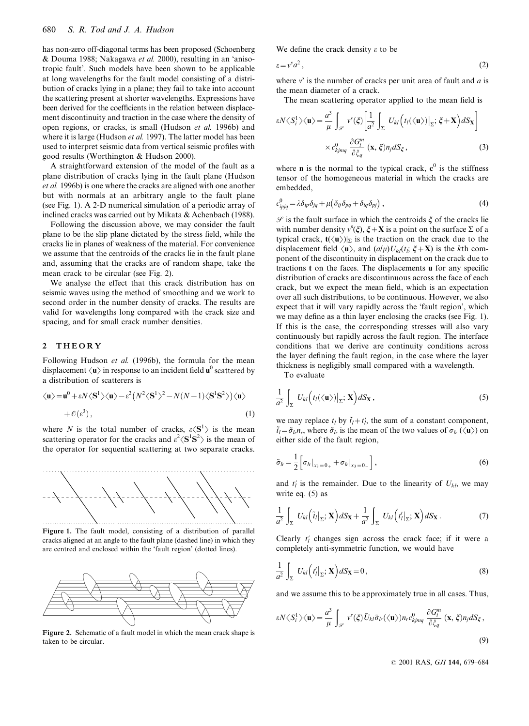has non-zero off-diagonal terms has been proposed (Schoenberg & Douma 1988; Nakagawa et al. 2000), resulting in an `anisotropic fault'. Such models have been shown to be applicable at long wavelengths for the fault model consisting of a distribution of cracks lying in a plane; they fail to take into account the scattering present at shorter wavelengths. Expressions have been derived for the coefficients in the relation between displacement discontinuity and traction in the case where the density of open regions, or cracks, is small (Hudson et al. 1996b) and where it is large (Hudson et al. 1997). The latter model has been used to interpret seismic data from vertical seismic profiles with good results (Worthington & Hudson 2000).

A straightforward extension of the model of the fault as a plane distribution of cracks lying in the fault plane (Hudson et al. 1996b) is one where the cracks are aligned with one another but with normals at an arbitrary angle to the fault plane (see Fig. 1). A 2-D numerical simulation of a periodic array of inclined cracks was carried out by Mikata & Achenbach (1988).

Following the discussion above, we may consider the fault plane to be the slip plane dictated by the stress field, while the cracks lie in planes of weakness of the material. For convenience we assume that the centroids of the cracks lie in the fault plane and, assuming that the cracks are of random shape, take the mean crack to be circular (see Fig. 2).

We analyse the effect that this crack distribution has on seismic waves using the method of smoothing and we work to second order in the number density of cracks. The results are valid for wavelengths long compared with the crack size and spacing, and for small crack number densities.

## 2 THEORY

Following Hudson *et al.* (1996b), the formula for the mean<br>displacement  $\langle \mathbf{u} \rangle$  in response to an incident field  $\mathbf{u}^0$  scattered by<br>a distribution of scatterers is<br> $\langle \mathbf{u} \rangle = \mathbf{u}^0 + \varepsilon N \langle \mathbf{S}^1 \rangle \langle \mathbf{u}$ displacement  $\langle u \rangle$  in response to an incident field  $u^0$  scattered by a distribution of scatterers is

$$
\langle \mathbf{u} \rangle = \mathbf{u}^0 + \varepsilon N \langle \mathbf{S}^1 \rangle \langle \mathbf{u} \rangle - \varepsilon^2 \left( N^2 \langle \mathbf{S}^1 \rangle^2 - N(N-1) \langle \mathbf{S}^1 \mathbf{S}^2 \rangle \right) \langle \mathbf{u} \rangle
$$
  
+  $\mathcal{O}(\varepsilon^3)$ , (1)

where N is the total number of cracks,  $\varepsilon \langle S^1 \rangle$  is the mean scattering operator for the cracks and  $\epsilon^2 \langle S^1S^2 \rangle$  is the mean of the operator for sequential scattering at two separate cracks.



Figure 1. The fault model, consisting of a distribution of parallel cracks aligned at an angle to the fault plane (dashed line) in which they are centred and enclosed within the 'fault region' (dotted lines).



Figure 2. Schematic of a fault model in which the mean crack shape is taken to be circular.

We define the crack density  $\varepsilon$  to be

$$
\varepsilon = v^s a^2 \,,\tag{2}
$$

where  $v^s$  is the number of cracks per unit area of fault and a is the mean diameter of a crack. cracks per unit area of fault and *c*<br>rack.<br>serator applied to the mean field i<br> $\left[\frac{1}{a^2}\int_{\mathbf{S}} U_{kl} (t_l(\langle \mathbf{u} \rangle)|_{\Sigma}; \xi + \mathbf{X}) dS_{\mathbf{X}}\right]$ ć

The mean scattering operator applied to the mean field is

$$
\varepsilon N \langle S_i^1 \rangle \langle \mathbf{u} \rangle = \frac{a^3}{\mu} \int_{\mathscr{S}} v^s(\xi) \left[ \frac{1}{a^2} \int_{\Sigma} U_{kl} \left( t_l(\langle \mathbf{u} \rangle) \Big|_{\Sigma}; \xi + \mathbf{X} \right) dS_{\mathbf{X}} \right] \times c_{kjmq}^0 \frac{\partial G_l^m}{\partial \xi_q} (\mathbf{x}, \xi) n_j dS_{\xi}, \tag{3}
$$

where **n** is the normal to the typical crack, **c**<sup>0</sup> is the stiffness<br>tensor of the homogeneous material in which the cracks are<br>embedded,<br> $c_{ipjq}^0 = \lambda \delta_{ip} \delta_{jq} + \mu (\delta_{ij} \delta_{pq} + \delta_{iq} \delta_{pj})$ , (4) tensor of the homogeneous material in which the cracks are embedded,

$$
c_{ipjq}^0 = \lambda \delta_{ip} \delta_{jq} + \mu \left( \delta_{ij} \delta_{pq} + \delta_{iq} \delta_{pj} \right), \tag{4}
$$

 $\mathscr S$  is the fault surface in which the centroids  $\xi$  of the cracks lie with number density  $v^s(\xi)$ ,  $\xi + X$  is a point on the surface  $\Sigma$  of a typical crack,  $t(\langle u \rangle)|_{\Sigma}$  is the traction on the crack due to the displacement field  $\langle \mathbf{u} \rangle$ , and  $\left(\frac{a}{\mu}\right)U_{kl}(t_i; \xi + \mathbf{X})$  is the kth component of the discontinuity in displacement on the crack due to tractions  $t$  on the faces. The displacements  $u$  for any specific distribution of cracks are discontinuous across the face of each crack, but we expect the mean field, which is an expectation over all such distributions, to be continuous. However, we also expect that it will vary rapidly across the 'fault region', which we may define as a thin layer enclosing the cracks (see Fig. 1). If this is the case, the corresponding stresses will also vary continuously but rapidly across the fault region. The interface conditions that we derive are continuity conditions across the layer defining the fault region, in the case where the layer<br>thickness is negligibly small compared with a wavelength.<br>To evaluate thickness is negligibly small compared with a wavelength.

To evaluate

the layer defining the fault region, in the case where the layer thickness is negligibly small compared with a wavelength.  
To evaluate  

$$
\frac{1}{a^2} \int_{\Sigma} U_{kl} (t_l(\langle \mathbf{u} \rangle)|_{\Sigma}; \mathbf{X}) dS_{\mathbf{X}},
$$
(5)

we may replace  $t_l$  by  $\tilde{t}_l + t'_l$ , the sum of a constant component,  $\tilde{t}_l = \tilde{\sigma}_l t_l$ , where  $\tilde{\sigma}_{lr}$  is the mean of the two values of  $\sigma_{lr} (\langle \mathbf{u} \rangle)$  on either side of the fault region,  $\tilde{t}_l = \tilde{\sigma}_{lr} n_r$ , where  $\tilde{\sigma}_{lr}$  is the mean of the two values of  $\sigma_{lr} (\langle \mathbf{u} \rangle)$  on either side of the fault region,

$$
\tilde{\sigma}_{lr} = \frac{1}{2} \left[ \sigma_{lr} \big|_{x_3 = 0_+} + \sigma_{lr} \big|_{x_3 = 0_-} \right],\tag{6}
$$

and  $t'_l$  is the remainder. Due to the linearity of  $U_{kl}$ , we may write eq. (5) as write eq. (5) as

$$
\frac{1}{a^2} \int_{\Sigma} U_{kl} \left( \tilde{t}_l |_{\Sigma} ; \mathbf{X} \right) dS_{\mathbf{X}} + \frac{1}{a^2} \int_{\Sigma} U_{kl} \left( t'_l |_{\Sigma} ; \mathbf{X} \right) dS_{\mathbf{X}} . \tag{7}
$$

Clearly  $t'_l$  changes sign across the crack face; if it were a completely anti-symmetric function, we would have completely anti-symmetric function, we would have

$$
\frac{1}{a^2} \int_{\Sigma} U_{kl} \left( t'_l |_{\Sigma}; \mathbf{X} \right) dS_{\mathbf{X}} = 0, \tag{8}
$$

and we assume this to be approximately true in all cases. Thus,

$$
\varepsilon N \langle S_i^1 \rangle \langle \mathbf{u} \rangle = \frac{a^3}{\mu} \int_{\mathscr{S}} v^s(\xi) \bar{U}_{ki} \tilde{\sigma}_{lr}(\langle \mathbf{u} \rangle) n_r c_{kjmq}^0 \frac{\partial G_l^m}{\partial \xi_q} (\mathbf{x}, \xi) n_j dS_{\xi},
$$
\n(9)

© 2001 RAS, GJI 144, 679-684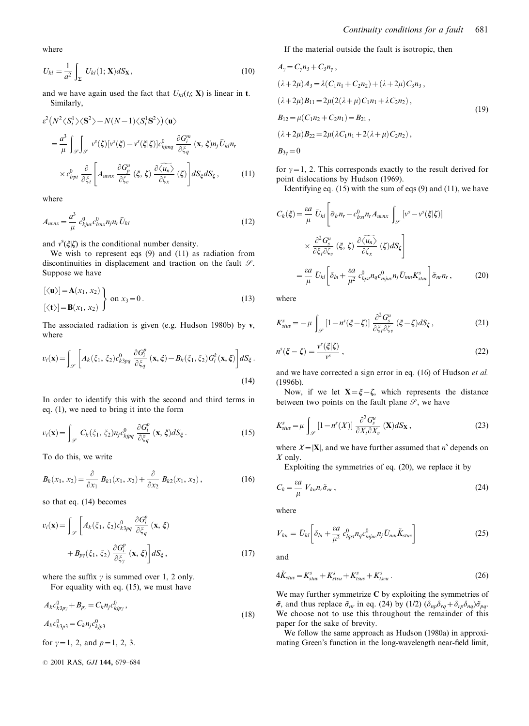$$
\bar{U}_{kl} = \frac{1}{a^2} \int_{\Sigma} U_{kl}(1; \mathbf{X}) dS_{\mathbf{X}},
$$
\n(10)

and we have again used the fact that  $U_{kl}(t_i; X)$  is linear in t. Similarly,  $a^2$  J<sub>Σ</sub><br>
and we have again used the fact that *L*<br>
Similarly,<br>  $(N^2 \langle S_i^1 \rangle \langle S^2 \rangle - N(N-1) \langle S_i^1 S^2 \rangle) \langle \mathbf{u} \rangle$  $\frac{1}{1}$ 

$$
\varepsilon^{2} (N^{2} \langle S_{i}^{1} \rangle \langle S^{2} \rangle - N(N-1) \langle S_{i}^{1} S^{2} \rangle) \langle \mathbf{u} \rangle
$$
\n
$$
= \frac{a^{3}}{\mu} \int_{\mathscr{S}} \int_{\mathscr{S}} v^{s}(\zeta) [v^{s}(\xi) - v^{s}(\xi|\zeta)] c_{kjmq}^{0} \frac{\partial G_{i}^{m}}{\partial \xi_{q}} (\mathbf{x}, \xi) n_{j} \bar{U}_{kl} n_{r}
$$
\n
$$
\times c_{lrpt}^{0} \frac{\partial}{\partial \xi_{t}} \left[ A_{wnx} \frac{\partial G_{p}^{u}}{\partial \zeta_{v}} (\xi, \zeta) \frac{\partial \langle u_{n} \rangle}{\partial \zeta_{x}} (\zeta) \right] dS_{\xi} dS_{\zeta}, \qquad (11)
$$

where

$$
A_{wnx} = \frac{a^3}{\mu} c_{kjuv}^0 c_{lmx}^0 n_j n_r \bar{U}_{kl}
$$
\n(12)

and  $v^s(\xi|\zeta)$  is the conditional number density.

We wish to represent eqs (9) and (11) as radiation from discontinuities in displacement and traction on the fault  $\mathcal{S}$ . Suppose we have

$$
\begin{aligned}\n[\langle \mathbf{u} \rangle] &= \mathbf{A}(x_1, x_2) \\
[\langle \mathbf{t} \rangle] &= \mathbf{B}(x_1, x_2)\n\end{aligned}\n\quad \text{on } x_3 = 0.\n\tag{13}
$$

The associated radiation is given (e.g. Hudson 1980b) by v, where iated radiation is given (e.g. Hudson 1980b) b<br>iated radiation is given (e.g. Hudson 1980b) b

$$
v_i(\mathbf{x}) = \int_{\mathscr{S}} \left[ A_k(\xi_1, \xi_2) c_{k3pq}^0 \frac{\partial G_i^p}{\partial \xi_q} (\mathbf{x}, \xi) - B_k(\xi_1, \xi_2) G_i^k(\mathbf{x}, \xi) \right] dS_{\xi}.
$$
\n(14)

In order to identify this with the second and third terms in eq. (1), we need to bring it into the form

$$
v_i(\mathbf{x}) = \int_{\mathcal{S}} C_k(\xi_1, \xi_2) n_j c_{kjpq}^0 \frac{\partial G_i^p}{\partial \xi_q} (\mathbf{x}, \xi) dS_{\xi}.
$$
 (15)

To do this, we write

$$
B_k(x_1, x_2) = \frac{\partial}{\partial x_1} B_{k1}(x_1, x_2) + \frac{\partial}{\partial x_2} B_{k2}(x_1, x_2), \qquad (16)
$$

so that eq. (14) becomes

$$
v_i(\mathbf{x}) = \int_{\mathscr{S}} \left[ A_k(\xi_1, \xi_2) c_{k3pq}^0 \frac{\partial G_i^p}{\partial \xi_q} (\mathbf{x}, \xi) + B_{p\gamma}(\xi_1, \xi_2) \frac{\partial G_i^p}{\partial \xi_\gamma} (\mathbf{x}, \xi) \right] dS_{\xi},
$$
\n(17)

where the suffix  $\gamma$  is summed over 1, 2 only. For equality with eq. (15), we must have

$$
A_{k}c_{k3p\gamma}^{0} + B_{p\gamma} = C_{k}n_{j}c_{kjp\gamma}^{0},
$$
  

$$
A_{k}c_{k3p3}^{0} = C_{k}n_{j}c_{kjp3}^{0}
$$
 (18)

for  $\gamma=1$ , 2, and  $p=1$ , 2, 3.

 $© 2001 RAS, GJI$  144, 679-684

If the material outside the fault is isotropic, then

$$
A_{\gamma} = C_{\gamma} n_3 + C_3 n_{\gamma},
$$
  
\n
$$
(\lambda + 2\mu) A_3 = \lambda (C_1 n_1 + C_2 n_2) + (\lambda + 2\mu) C_3 n_3,
$$
  
\n
$$
(\lambda + 2\mu) B_{11} = 2\mu (2(\lambda + \mu) C_1 n_1 + \lambda C_2 n_2),
$$
  
\n
$$
B_{12} = \mu (C_1 n_2 + C_2 n_1) = B_{21},
$$
  
\n
$$
(\lambda + 2\mu) B_{22} = 2\mu (\lambda C_1 n_1 + 2(\lambda + \mu) C_2 n_2),
$$
  
\n
$$
B_{3\gamma} = 0
$$
\n(19)

for  $\gamma=1$ , 2. This corresponds exactly to the result derived for point dislocations by Hudson (1969). This corresponds exactles and the Hudson (196<br>
ing eq. (15) with the sum<br>  $\bar{U}_{kl} \left[ \tilde{\sigma}_{lr} n_r - c_{lrsl}^0 n_r A_{wnn} \right]$ 

Identifying eq. (15) with the sum of eqs (9) and (11), we have

$$
C_{k}(\xi) = \frac{\varepsilon a}{\mu} \bar{U}_{kl} \left[ \tilde{\sigma}_{lr} n_{r} - c_{lrsl}^{0} n_{r} A_{wnx} \int_{\mathscr{S}} \left[ v^{s} - v^{s}(\xi|\xi) \right] \times \frac{\partial^{2} G_{s}^{\mu}}{\partial \xi_{r} \partial \zeta_{r}} (\xi, \xi) \frac{\partial \widetilde{\langle u_{n} \rangle}}{\partial \zeta_{x}} (\xi) dS_{\zeta} \right]
$$

$$
= \frac{\varepsilon a}{\mu} \bar{U}_{kl} \left[ \delta_{ln} + \frac{\varepsilon a}{\mu^{2}} c_{lgsl}^{0} n_{q} c_{mjuv}^{0} n_{j} \bar{U}_{mn} K_{stuv}^{s} \right] \tilde{\sigma}_{nr} n_{r}, \qquad (20)
$$

where

$$
K_{\text{stuv}}^s = -\mu \int_{\mathscr{S}} \left[1 - n^s(\xi - \zeta)\right] \frac{\partial^2 G_s^u}{\partial \xi_t \partial \zeta_v} (\xi - \zeta) dS_{\zeta},\tag{21}
$$

$$
n^{s}(\xi - \zeta) = \frac{v^{s}(\xi|\zeta)}{v^{s}}\,,\tag{22}
$$

and we have corrected a sign error in eq. (16) of Hudson et al. (1996b).

Now, if we let  $X = \xi - \zeta$ , which represents the distance between two points on the fault plane  $\mathcal{S}$ , we have

$$
K_{\text{stuv}}^s = \mu \int_{\mathscr{S}} \left[1 - n^s(X)\right] \frac{\partial^2 G_s^u}{\partial X_t \partial X_v} \left(\mathbf{X}\right) dS_{\mathbf{X}},\tag{23}
$$

where  $X=|\mathbf{X}|$ , and we have further assumed that  $n^s$  depends on X only.

Exploiting the symmetries of eq. (20), we replace it by

$$
C_k = \frac{\varepsilon a}{\mu} V_{kn} n_r \tilde{\sigma}_{nr},
$$
\nwhere

where

$$
V_{kn} = \bar{U}_{kl} \bigg[ \delta_{ln} + \frac{\varepsilon a}{\mu^2} \, c_{lqs}^0 n_q c_{mjuv}^0 n_j \bar{U}_{mn} \tilde{K}_{stuv} \bigg] \tag{25}
$$

and

$$
4\tilde{K}_{stuv} = K_{stuv}^s + K_{stvu}^s + K_{tsuv}^s + K_{tsvu}^s.
$$
\n
$$
(26)
$$

We may further symmetrize  $C$  by exploiting the symmetries of  $\tilde{\sigma}$ , and thus replace  $\tilde{\sigma}_{nr}$  in eq. (24) by (1/2)  $(\delta_{np}\delta_{rq}+\delta_{rp}\delta_{nq})\tilde{\sigma}_{pq}$ . We choose not to use this throughout the remainder of this paper for the sake of brevity.

We follow the same approach as Hudson (1980a) in approximating Green's function in the long-wavelength near-field limit,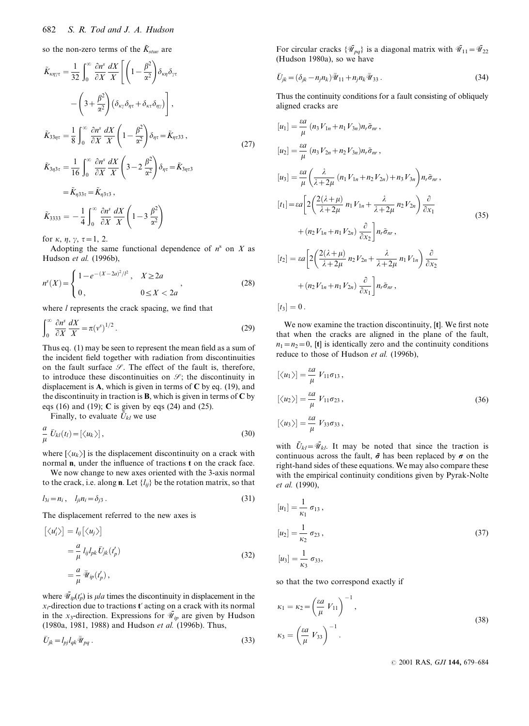so the non-zero terms of the  $\tilde{K}_{stuv}$  are

682 *S. R. Tod and J. A. Hudson*  
\nso the non-zero terms of the 
$$
\tilde{K}_{stuv}
$$
 are  
\n
$$
\tilde{K}_{\kappa\eta\gamma\tau} = \frac{1}{32} \int_0^\infty \frac{\partial n^s}{\partial X} \frac{dX}{X} \left[ \left( 1 - \frac{\beta^2}{\alpha^2} \right) \delta_{\kappa\eta} \delta_{\gamma\tau} - \left( 3 + \frac{\beta^2}{\alpha^2} \right) \left( \delta_{\kappa\gamma} \delta_{\eta\tau} + \delta_{\kappa\tau} \delta_{\eta\gamma} \right) \right],
$$
\n
$$
\tilde{K}_{33\eta\tau} = \frac{1}{8} \int_0^\infty \frac{\partial n^s}{\partial X} \frac{dX}{X} \left( 1 - \frac{\beta^2}{\alpha^2} \right) \delta_{\eta\tau} = \tilde{K}_{\eta\tau 33},
$$
\n
$$
\tilde{K}_{3\eta 3\tau} = \frac{1}{16} \int_0^\infty \frac{\partial n^s}{\partial X} \frac{dX}{X} \left( 3 - 2 \frac{\beta^2}{\alpha^2} \right) \delta_{\eta\tau} = \tilde{K}_{3\eta\tau 3}
$$
\n
$$
= \tilde{K}_{\eta 33\tau} = \tilde{K}_{\eta 3\tau 3},
$$
\n
$$
\tilde{K}_{3333} = -\frac{1}{4} \int_0^\infty \frac{\partial n^s}{\partial X} \frac{dX}{X} \left( 1 - 3 \frac{\beta^2}{\alpha^2} \right)
$$

for  $\kappa$ ,  $\eta$ ,  $\gamma$ ,  $\tau$  = 1, 2.  $, \gamma$ 

Adopting the same functional dependence of  $n<sup>s</sup>$  on X as Hudson et al. (1996b),

$$
n^{s}(X) = \begin{cases} 1 - e^{-(X - 2a)^{2}/l^{2}}, & X \ge 2a \\ 0, & 0 \le X < 2a \end{cases}
$$
 (28)

where  $l$  represents the crack spacing, we find that

$$
\int_0^\infty \frac{\partial n^s}{\partial X} \frac{dX}{X} = \pi (v^s)^{1/2} \,. \tag{29}
$$

Thus eq.  $(1)$  may be seen to represent the mean field as a sum of the incident field together with radiation from discontinuities on the fault surface  $\mathcal{S}$ . The effect of the fault is, therefore, to introduce these discontinuities on  $\mathcal{S}$ ; the discontinuity in displacement is A, which is given in terms of  $C$  by eq. (19), and the discontinuity in traction is **B**, which is given in terms of  $C$  by eqs (16) and (19);  $C$  is given by eqs (24) and (25).

Finally, to evaluate  $\bar{U}_{kl}$  we use

$$
\frac{a}{\mu}\bar{U}_{kl}(t_l) = [\langle u_k \rangle],\tag{30}
$$

where  $\left[\langle u_k \rangle\right]$  is the displacement discontinuity on a crack with normal  $n$ , under the influence of tractions  $t$  on the crack face.

We now change to new axes oriented with the 3-axis normal to the crack, i.e. along **n**. Let  $\{l_{ii}\}$  be the rotation matrix, so that

$$
l_{3i} = n_i, \quad l_{ji} n_i = \delta_{j3}.
$$
\nThe displacement referred to the new axes is

The displacement referred to the new axes is

$$
l_{3i} = n_i, \quad l_{ji}n_i = \delta_{j3}.
$$
\nThe displacement referred to the new axes is

\n
$$
\left[ \langle u'_i \rangle \right] = l_{ij} \left[ \langle u_j \rangle \right]
$$
\n
$$
= \frac{a}{\mu} l_{ij} l_{pk} \bar{U}_{jk} (t'_p)
$$
\n
$$
= \frac{a}{\mu} \bar{\Psi}_{ip} (t'_p),
$$
\n(32)

where  $\bar{\mathcal{W}}_{ip}(t'_p)$  is  $\mu/a$  times the discontinuity in displacement in the  $x_i$ -direction due to tractions t' acting on a crack with its normal in the x<sub>3</sub>-direction. Expressions for  $\bar{\mathcal{U}}_{ip}$  are given by Hudson (1980a, 1981, 1988) and Hudson et al. (1996b). Thus,

$$
\bar{U}_{jk} = l_{pj} l_{qk} \bar{\mathcal{U}}_{pq} \,. \tag{33}
$$

For circular cracks  $\{\tilde{\mathcal{M}}_{pq}\}\$ is a diagonal matrix with  $\tilde{\mathcal{M}}_{11}=\tilde{\mathcal{M}}_{22}$ (Hudson 1980a), so we have

$$
\bar{U}_{jk} = (\delta_{jk} - n_j n_k) \bar{\mathcal{U}}_{11} + n_j n_k \bar{\mathcal{U}}_{33} .
$$
 (34)

Thus the continuity conditions for a fault consisting of obliquely aligned cracks are

ea

$$
[u_1] = \frac{\partial u}{\mu} (n_3 V_{1n} + n_1 V_{3n}) n_r \tilde{\sigma}_{nr},
$$
  
\n
$$
[u_2] = \frac{\partial u}{\mu} (n_3 V_{2n} + n_2 V_{3n}) n_r \tilde{\sigma}_{nr},
$$
  
\n
$$
[u_3] = \frac{\partial u}{\mu} \left( \frac{\lambda}{\lambda + 2\mu} (n_1 V_{1n} + n_2 V_{2n}) + n_3 V_{3n} \right) n_r \tilde{\sigma}_{nr},
$$
  
\n
$$
[t_1] = \varepsilon a \left[ 2 \left( \frac{2(\lambda + \mu)}{\lambda + 2\mu} n_1 V_{1n} + \frac{\lambda}{\lambda + 2\mu} n_2 V_{2n} \right) \frac{\partial}{\partial x_1} + (n_2 V_{1n} + n_1 V_{2n}) \frac{\partial}{\partial x_2} \right] n_r \tilde{\sigma}_{nr},
$$
  
\n
$$
[t_2] = \varepsilon a \left[ 2 \left( \frac{2(\lambda + \mu)}{\lambda + 2\mu} n_2 V_{2n} + \frac{\lambda}{\lambda + 2\mu} n_1 V_{1n} \right) \frac{\partial}{\partial x_2} + (n_2 V_{1n} + n_1 V_{2n}) \frac{\partial}{\partial x_1} \right] n_r \tilde{\sigma}_{nr},
$$
  
\n
$$
[t_3] = 0.
$$

We now examine the traction discontinuity, [t]. We first note that when the cracks are aligned in the plane of the fault,  $n_1=n_2=0$ , [t] is identically zero and the continuity conditions reduce to those of Hudson et al. (1996b),

$$
[\langle u_1 \rangle] = \frac{\varepsilon a}{\mu} V_{11} \sigma_{13},
$$
  
\n
$$
[\langle u_2 \rangle] = \frac{\varepsilon a}{\mu} V_{11} \sigma_{23},
$$
  
\n
$$
[\langle u_3 \rangle] = \frac{\varepsilon a}{\mu} V_{33} \sigma_{33},
$$
\n(36)

with  $\bar{U}_{kl}=\bar{\mathcal{W}}_{kl}$ . It may be noted that since the traction is continuous across the fault,  $\tilde{\sigma}$  has been replaced by  $\sigma$  on the right-hand sides of these equations. We may also compare these with the empirical continuity conditions given by Pyrak-Nolte et al. (1990),

$$
[u_1] = \frac{1}{\kappa_1} \sigma_{13},
$$
  
\n
$$
[u_2] = \frac{1}{\kappa_2} \sigma_{23},
$$
  
\n
$$
[u_3] = \frac{1}{\kappa_3} \sigma_{33},
$$
\n(37)

so that the two correspond exactly if

$$
[u_3] = \frac{1}{\kappa_3} \sigma_{33},
$$
  
so that the two correspond exactly if  

$$
\kappa_1 = \kappa_2 = \left(\frac{\varepsilon a}{\mu} V_{11}\right)^{-1},
$$

$$
\kappa_3 = \left(\frac{\varepsilon a}{\mu} V_{33}\right)^{-1}.
$$
 (38)

© 2001 RAS, GJI 144, 679-684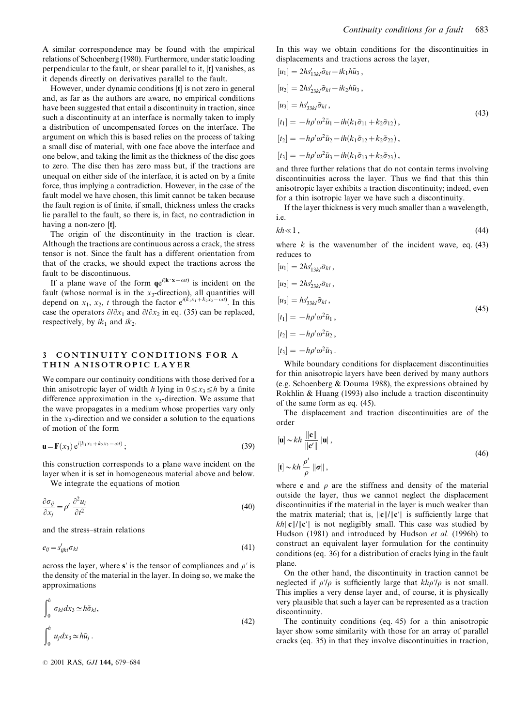A similar correspondence may be found with the empirical relations of Schoenberg (1980). Furthermore, under static loading perpendicular to the fault, or shear parallel to it, [t] vanishes, as it depends directly on derivatives parallel to the fault.

However, under dynamic conditions [t] is not zero in general and, as far as the authors are aware, no empirical conditions have been suggested that entail a discontinuity in traction, since such a discontinuity at an interface is normally taken to imply a distribution of uncompensated forces on the interface. The argument on which this is based relies on the process of taking a small disc of material, with one face above the interface and one below, and taking the limit as the thickness of the disc goes to zero. The disc then has zero mass but, if the tractions are unequal on either side of the interface, it is acted on by a finite force, thus implying a contradiction. However, in the case of the fault model we have chosen, this limit cannot be taken because the fault region is of finite, if small, thickness unless the cracks lie parallel to the fault, so there is, in fact, no contradiction in having a non-zero [t].

The origin of the discontinuity in the traction is clear. Although the tractions are continuous across a crack, the stress tensor is not. Since the fault has a different orientation from that of the cracks, we should expect the tractions across the fault to be discontinuous.

If a plane wave of the form  $qe^{i(k \cdot x - \omega t)}$  is incident on the fault (whose normal is in the  $x_3$ -direction), all quantities will depend on  $x_1, x_2, t$  through the factor  $e^{i(k_1x_1 + k_2x_2 - \omega t)}$ . In this case the operators  $\partial/\partial x_1$  and  $\partial/\partial x_2$  in eq. (35) can be replaced, respectively, by  $ik_1$  and  $ik_2$ .

### 3 CONTINUITY CONDITIONS FOR A THIN ANISOTROPIC LAYER

We compare our continuity conditions with those derived for a thin anisotropic layer of width h lying in  $0 \le x_3 \le h$  by a finite difference approximation in the  $x_3$ -direction. We assume that the wave propagates in a medium whose properties vary only in the  $x_3$ -direction and we consider a solution to the equations of motion of the form

$$
\mathbf{u} = \mathbf{F}(x_3) e^{i(k_1 x_1 + k_2 x_2 - \omega t)};
$$
\n(39)

this construction corresponds to a plane wave incident on the layer when it is set in homogeneous material above and below.

We integrate the equations of motion

$$
\frac{\partial \sigma_{ij}}{\partial x_j} = \rho' \frac{\partial^2 u_i}{\partial t^2}
$$
\n(40)

and the stress-strain relations

$$
e_{ij} = s'_{ijkl} \sigma_{kl} \tag{41}
$$

across the layer, where s' is the tensor of compliances and  $\rho'$  is the density of the material in the layer. In doing so, we make the approximations

$$
\int_0^h \sigma_{kl} dx_3 \simeq h \tilde{\sigma}_{kl},
$$
  

$$
\int_0^h u_j dx_3 \simeq h \tilde{u}_j.
$$
 (42)

 $© 2001 RAS, GJI$  144, 679-684

In this way we obtain conditions for the discontinuities in displacements and tractions across the layer,

$$
[u_1] = 2hs'_{13kl}\tilde{\sigma}_{kl} - ik_1h\tilde{u}_3,
$$
  
\n
$$
[u_2] = 2hs'_{23kl}\tilde{\sigma}_{kl} - ik_2h\tilde{u}_3,
$$
  
\n
$$
[u_3] = hs'_{33kl}\tilde{\sigma}_{kl},
$$
  
\n
$$
[t_1] = -h\rho'\omega^2\tilde{u}_1 - ih(k_1\tilde{\sigma}_{11} + k_2\tilde{\sigma}_{12}),
$$
  
\n
$$
[t_2] = -h\rho'\omega^2\tilde{u}_2 - ih(k_1\tilde{\sigma}_{12} + k_2\tilde{\sigma}_{22}),
$$
  
\n
$$
[t_3] = -h\rho'\omega^2\tilde{u}_3 - ih(k_1\tilde{\sigma}_{13} + k_2\tilde{\sigma}_{23}),
$$
 (43)

and three further relations that do not contain terms involving discontinuities across the layer. Thus we find that this thin anisotropic layer exhibits a traction discontinuity; indeed, even for a thin isotropic layer we have such a discontinuity.

If the layer thickness is very much smaller than a wavelength, i.e.

$$
kh \ll 1 \tag{44}
$$

where  $k$  is the wavenumber of the incident wave, eq. (43) reduces to

$$
[u_1] = 2hs'_{13kl}\tilde{\sigma}_{kl},
$$
  
\n
$$
[u_2] = 2hs'_{23kl}\tilde{\sigma}_{kl},
$$
  
\n
$$
[u_3] = hs'_{33kl}\tilde{\sigma}_{kl},
$$
  
\n
$$
[t_1] = -h\rho'\omega^2\tilde{u}_1,
$$
  
\n
$$
[t_2] = -h\rho'\omega^2\tilde{u}_2,
$$
  
\n
$$
[t_3] = -h\rho'\omega^2\tilde{u}_3.
$$
  
\n(45)

While boundary conditions for displacement discontinuities for thin anisotropic layers have been derived by many authors (e.g. Schoenberg & Douma 1988), the expressions obtained by Rokhlin & Huang (1993) also include a traction discontinuity of the same form as eq. (45).

The displacement and traction discontinuities are of the order

$$
[\mathbf{u}] \sim kh \frac{\|\mathbf{c}\|}{\|\mathbf{c}'\|} |\mathbf{u}|,
$$
  

$$
[\mathbf{t}] \sim kh \frac{\rho'}{\rho} \|\boldsymbol{\sigma}\|,
$$
 (46)

where c and  $\rho$  are the stiffness and density of the material outside the layer, thus we cannot neglect the displacement discontinuities if the material in the layer is much weaker than the matrix material; that is,  $\|\mathbf{c}\|/\|\mathbf{c}'\|$  is sufficiently large that  $kh\|c\|/\|c'\|$  is not negligibly small. This case was studied by Hudson (1981) and introduced by Hudson et al. (1996b) to construct an equivalent layer formulation for the continuity conditions (eq. 36) for a distribution of cracks lying in the fault plane.

On the other hand, the discontinuity in traction cannot be neglected if  $\rho/\rho$  is sufficiently large that  $kh\rho/\rho$  is not small. This implies a very dense layer and, of course, it is physically very plausible that such a layer can be represented as a traction discontinuity.

The continuity conditions (eq. 45) for a thin anisotropic layer show some similarity with those for an array of parallel cracks (eq. 35) in that they involve discontinuities in traction,